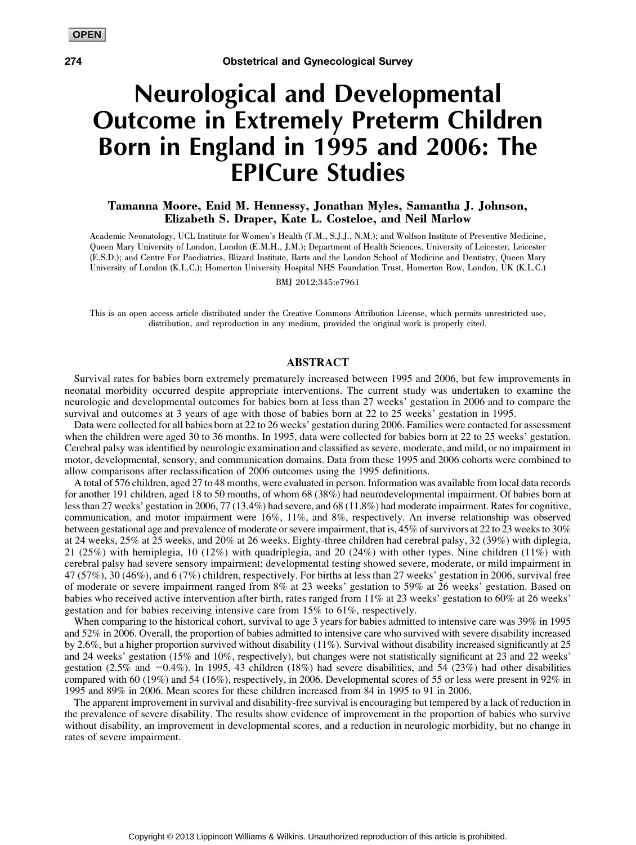## Neurological and Developmental Outcome in Extremely Preterm Children Born in England in 1995 and 2006: The EPICure Studies

## Tamanna Moore, Enid M. Hennessy, Jonathan Myles, Samantha J. Johnson, Elizabeth S. Draper, Kate L. Costeloe, and Neil Marlow

Academic Neonatology, UCL Institute for Women's Health (T.M., S.J.J., N.M.); and Wolfson Institute of Preventive Medicine, Queen Mary University of London, London (E.M.H., J.M.); Department of Health Sciences, University of Leicester, Leicester (E.S.D.); and Centre For Paediatrics, Blizard Institute, Barts and the London School of Medicine and Dentistry, Queen Mary University of London (K.L.C.); Homerton University Hospital NHS Foundation Trust, Homerton Row, London, UK (K.L.C.)

BMJ 2012;345:e7961

This is an open access article distributed under the Creative Commons Attribution License, which permits unrestricted use, distribution, and reproduction in any medium, provided the original work is properly cited.

## ABSTRACT

Survival rates for babies born extremely prematurely increased between 1995 and 2006, but few improvements in neonatal morbidity occurred despite appropriate interventions. The current study was undertaken to examine the neurologic and developmental outcomes for babies born at less than 27 weeks' gestation in 2006 and to compare the survival and outcomes at 3 years of age with those of babies born at 22 to 25 weeks' gestation in 1995.

Data were collected for all babies born at 22 to 26 weeks' gestation during 2006. Families were contacted for assessment when the children were aged 30 to 36 months. In 1995, data were collected for babies born at 22 to 25 weeks' gestation. Cerebral palsy was identified by neurologic examination and classified as severe, moderate, and mild, or no impairment in motor, developmental, sensory, and communication domains. Data from these 1995 and 2006 cohorts were combined to allow comparisons after reclassification of 2006 outcomes using the 1995 definitions.

A total of 576 children, aged 27 to 48 months, were evaluated in person. Information was available from local data records for another 191 children, aged 18 to 50 months, of whom 68 (38%) had neurodevelopmental impairment. Of babies born at less than 27 weeks' gestation in 2006, 77 (13.4%) had severe, and 68 (11.8%) had moderate impairment. Rates for cognitive, communication, and motor impairment were 16%, 11%, and 8%, respectively. An inverse relationship was observed between gestational age and prevalence of moderate or severe impairment, that is, 45% of survivors at 22 to 23 weeks to 30% at 24 weeks, 25% at 25 weeks, and 20% at 26 weeks. Eighty-three children had cerebral palsy, 32 (39%) with diplegia, 21 (25%) with hemiplegia, 10 (12%) with quadriplegia, and 20 (24%) with other types. Nine children (11%) with cerebral palsy had severe sensory impairment; developmental testing showed severe, moderate, or mild impairment in 47 (57%), 30 (46%), and 6 (7%) children, respectively. For births at less than 27 weeks' gestation in 2006, survival free of moderate or severe impairment ranged from 8% at 23 weeks' gestation to 59% at 26 weeks' gestation. Based on babies who received active intervention after birth, rates ranged from 11% at 23 weeks' gestation to 60% at 26 weeks' gestation and for babies receiving intensive care from 15% to 61%, respectively.

When comparing to the historical cohort, survival to age 3 years for babies admitted to intensive care was 39% in 1995 and 52% in 2006. Overall, the proportion of babies admitted to intensive care who survived with severe disability increased by 2.6%, but a higher proportion survived without disability (11%). Survival without disability increased significantly at 25 and 24 weeks' gestation (15% and 10%, respectively), but changes were not statistically significant at 23 and 22 weeks' gestation (2.5% and  $-0.4\%$ ). In 1995, 43 children (18%) had severe disabilities, and 54 (23%) had other disabilities compared with 60 (19%) and 54 (16%), respectively, in 2006. Developmental scores of 55 or less were present in 92% in 1995 and 89% in 2006. Mean scores for these children increased from 84 in 1995 to 91 in 2006.

The apparent improvement in survival and disability-free survival is encouraging but tempered by a lack of reduction in the prevalence of severe disability. The results show evidence of improvement in the proportion of babies who survive without disability, an improvement in developmental scores, and a reduction in neurologic morbidity, but no change in rates of severe impairment.